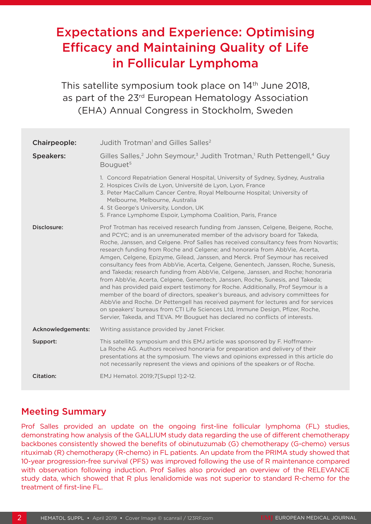# Expectations and Experience: Optimising Efficacy and Maintaining Quality of Life in Follicular Lymphoma

This satellite symposium took place on 14<sup>th</sup> June 2018, as part of the 23rd European Hematology Association (EHA) Annual Congress in Stockholm, Sweden

| Chairpeople:      | Judith Trotman <sup>1</sup> and Gilles Salles <sup>2</sup>                                                                                                                                                                                                                                                                                                                                                                                                                                                                                                                                                                                                                                                                                                                                                                                                                                                                                                                                                                                                                                                             |
|-------------------|------------------------------------------------------------------------------------------------------------------------------------------------------------------------------------------------------------------------------------------------------------------------------------------------------------------------------------------------------------------------------------------------------------------------------------------------------------------------------------------------------------------------------------------------------------------------------------------------------------------------------------------------------------------------------------------------------------------------------------------------------------------------------------------------------------------------------------------------------------------------------------------------------------------------------------------------------------------------------------------------------------------------------------------------------------------------------------------------------------------------|
| <b>Speakers:</b>  | Gilles Salles, <sup>2</sup> John Seymour, <sup>3</sup> Judith Trotman, <sup>1</sup> Ruth Pettengell, <sup>4</sup> Guy<br>Bouguet <sup>5</sup>                                                                                                                                                                                                                                                                                                                                                                                                                                                                                                                                                                                                                                                                                                                                                                                                                                                                                                                                                                          |
|                   | 1. Concord Repatriation General Hospital, University of Sydney, Sydney, Australia<br>2. Hospices Civils de Lyon, Université de Lyon, Lyon, France<br>3. Peter MacCallum Cancer Centre, Royal Melbourne Hospital; University of<br>Melbourne, Melbourne, Australia<br>4. St George's University, London, UK<br>5. France Lymphome Espoir, Lymphoma Coalition, Paris, France                                                                                                                                                                                                                                                                                                                                                                                                                                                                                                                                                                                                                                                                                                                                             |
| Disclosure:       | Prof Trotman has received research funding from Janssen, Celgene, Beigene, Roche,<br>and PCYC; and is an unremunerated member of the advisory board for Takeda,<br>Roche, Janssen, and Celgene. Prof Salles has received consultancy fees from Novartis;<br>research funding from Roche and Celgene; and honoraria from AbbVie, Acerta,<br>Amgen, Celgene, Epizyme, Gilead, Janssen, and Merck. Prof Seymour has received<br>consultancy fees from AbbVie, Acerta, Celgene, Genentech, Janssen, Roche, Sunesis,<br>and Takeda; research funding from AbbVie, Celgene, Janssen, and Roche; honoraria<br>from AbbVie, Acerta, Celgene, Genentech, Janssen, Roche, Sunesis, and Takeda;<br>and has provided paid expert testimony for Roche. Additionally, Prof Seymour is a<br>member of the board of directors, speaker's bureaus, and advisory committees for<br>AbbVie and Roche. Dr Pettengell has received payment for lectures and for services<br>on speakers' bureaus from CTI Life Sciences Ltd, Immune Design, Pfizer, Roche,<br>Servier, Takeda, and TEVA. Mr Bouguet has declared no conflicts of interests. |
| Acknowledgements: | Writing assistance provided by Janet Fricker.                                                                                                                                                                                                                                                                                                                                                                                                                                                                                                                                                                                                                                                                                                                                                                                                                                                                                                                                                                                                                                                                          |
| Support:          | This satellite symposium and this EMJ article was sponsored by F. Hoffmann-<br>La Roche AG. Authors received honoraria for preparation and delivery of their<br>presentations at the symposium. The views and opinions expressed in this article do<br>not necessarily represent the views and opinions of the speakers or of Roche.                                                                                                                                                                                                                                                                                                                                                                                                                                                                                                                                                                                                                                                                                                                                                                                   |
| Citation:         | EMJ Hematol. 2019;7[Suppl 1]:2-12.                                                                                                                                                                                                                                                                                                                                                                                                                                                                                                                                                                                                                                                                                                                                                                                                                                                                                                                                                                                                                                                                                     |

# Meeting Summary

Prof Salles provided an update on the ongoing first-line follicular lymphoma (FL) studies, demonstrating how analysis of the GALLIUM study data regarding the use of different chemotherapy backbones consistently showed the benefits of obinutuzumab (G) chemotherapy (G-chemo) versus rituximab (R) chemotherapy (R-chemo) in FL patients. An update from the PRIMA study showed that 10-year progression-free survival (PFS) was improved following the use of R maintenance compared with observation following induction. Prof Salles also provided an overview of the RELEVANCE study data, which showed that R plus lenalidomide was not superior to standard R-chemo for the treatment of first-line FL.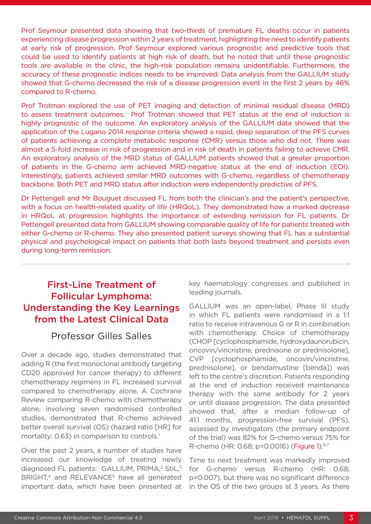Prof Seymour presented data showing that two-thirds of premature FL deaths occur in patients experiencing disease progression within 2 years of treatment, highlighting the need to identify patients at early risk of progression. Prof Seymour explored various prognostic and predictive tools that could be used to identify patients at high risk of death, but he noted that until these prognostic tools are available in the clinic, the high-risk population remains unidentifiable. Furthermore, the accuracy of these prognostic indices needs to be improved. Data analysis from the GALLIUM study showed that G-chemo decreased the risk of a disease progression event in the first 2 years by 46% compared to R-chemo.

Prof Trotman explored the use of PET imaging and detection of minimal residual disease (MRD) to assess treatment outcomes. Prof Trotman showed that PET status at the end of induction is highly prognostic of the outcome. An exploratory analysis of the GALLIUM data showed that the application of the Lugano 2014 response criteria showed a rapid, deep separation of the PFS curves of patients achieving a complete metabolic response (CMR) versus those who did not. There was almost a 5-fold increase in risk of progression and in risk of death in patients failing to achieve CMR. An exploratory analysis of the MRD status of GALLIUM patients showed that a greater proportion of patients in the G-chemo arm achieved MRD-negative status at the end of induction (EOI). Interestingly, patients achieved similar MRD outcomes with G-chemo, regardless of chemotherapy backbone. Both PET and MRD status after induction were independently predictive of PFS.

Dr Pettengell and Mr Bouguet discussed FL from both the clinician's and the patient's perspective, with a focus on health-related quality of life (HRQoL). They demonstrated how a marked decrease in HRQoL at progression highlights the importance of extending remission for FL patients. Dr Pettengell presented data from GALLIUM showing comparable quality of life for patients treated with either G-chemo or R-chemo. They also presented patient surveys showing that FL has a substantial physical and psychological impact on patients that both lasts beyond treatment and persists even during long-term remission.

# First-Line Treatment of Follicular Lymphoma: Understanding the Key Learnings from the Latest Clinical Data

# Professor Gilles Salles

Over a decade ago, studies demonstrated that adding R (the first monoclonal antibody targeting CD20 approved for cancer therapy) to different chemotherapy regimens in FL increased survival compared to chemotherapy alone. A Cochrane Review comparing R-chemo with chemotherapy alone, involving seven randomised controlled studies, demonstrated that R-chemo achieved better overall survival (OS) (hazard ratio [HR] for mortality: 0.63) in comparison to controls.<sup>1</sup>

Over the past 2 years, a number of studies have increased our knowledge of treating newly diagnosed FL patients: GALLIUM, PRIMA,<sup>2</sup> StiL,<sup>3</sup> BRIGHT,<sup>4</sup> and RELEVANCE<sup>5</sup> have all generated important data, which have been presented at key haematology congresses and published in leading journals.

GALLIUM was an open-label, Phase III study in which FL patients were randomised in a 1:1 ratio to receive intravenous G or R in combination with chemotherapy. Choice of chemotherapy (CHOP [cyclophosphamide, hydroxydaunorubicin, oncovin/vincristine, prednisone or prednisolone], CVP [cyclophosphamide, oncovin/vincristine, prednisolone], or bendamustine [benda]) was left to the centre's discretion. Patients responding at the end of induction received maintenance therapy with the same antibody for 2 years or until disease progression. The data presented showed that, after a median follow-up of 41.1 months, progression-free survival (PFS), assessed by investigators (the primary endpoint of the trial) was 82% for G-chemo versus 75% for R-chemo (HR: 0.68; p=0.0016) (Figure 1).6,7

Time to next treatment was markedly improved for G-chemo versus R-chemo (HR: 0.68; p=0.007), but there was no significant difference in the OS of the two groups at 3 years. As there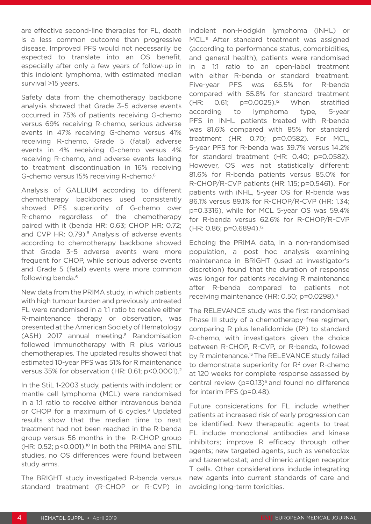are effective second-line therapies for FL, death is a less common outcome than progressive disease. Improved PFS would not necessarily be expected to translate into an OS benefit, especially after only a few years of follow-up in this indolent lymphoma, with estimated median survival >15 years.

Safety data from the chemotherapy backbone analysis showed that Grade 3–5 adverse events occurred in 75% of patients receiving G-chemo versus 69% receiving R-chemo, serious adverse events in 47% receiving G-chemo versus 41% receiving R-chemo, Grade 5 (fatal) adverse events in 4% receiving G-chemo versus 4% receiving R-chemo, and adverse events leading to treatment discontinuation in 16% receiving G-chemo versus 15% receiving R-chemo.6

Analysis of GALLIUM according to different chemotherapy backbones used consistently showed PFS superiority of G-chemo over R-chemo regardless of the chemotherapy paired with it (benda HR: 0.63; CHOP HR: 0.72; and CVP HR: 0.79).<sup>6</sup> Analysis of adverse events according to chemotherapy backbone showed that Grade 3–5 adverse events were more frequent for CHOP, while serious adverse events and Grade 5 (fatal) events were more common following benda.6

New data from the PRIMA study, in which patients with high tumour burden and previously untreated FL were randomised in a 1:1 ratio to receive either R-maintenance therapy or observation, was presented at the American Society of Hematology (ASH) 2017 annual meeting.<sup>8</sup> Randomisation followed immunotherapy with R plus various chemotherapies. The updated results showed that estimated 10-year PFS was 51% for R maintenance versus 35% for observation (HR: 0.61; p<0.0001).<sup>2</sup>

In the StiL 1-2003 study, patients with indolent or mantle cell lymphoma (MCL) were randomised in a 1:1 ratio to receive either intravenous benda or CHOP for a maximum of 6 cycles.<sup>9</sup> Updated results show that the median time to next treatment had not been reached in the R-benda group versus 56 months in the R-CHOP group  $(HR: 0.52; p<0.001).$ <sup>10</sup> In both the PRIMA and STiL studies, no OS differences were found between study arms.

The BRIGHT study investigated R-benda versus standard treatment (R-CHOP or R-CVP) in indolent non-Hodgkin lymphoma (iNHL) or MCL.<sup>11</sup> After standard treatment was assigned (according to performance status, comorbidities, and general health), patients were randomised in a 1:1 ratio to an open-label treatment with either R-benda or standard treatment. Five-year PFS was 65.5% for R-benda compared with 55.8% for standard treatment  $(HR: 0.61; p=0.0025).<sup>12</sup>$  When stratified according to lymphoma type, 5-year PFS in iNHL patients treated with R-benda was 81.6% compared with 85% for standard treatment (HR: 0.70; p=0.0582). For MCL, 5-year PFS for R-benda was 39.7% versus 14.2% for standard treatment (HR: 0.40; p=0.0582). However, OS was not statistically different: 81.6% for R-benda patients versus 85.0% for R-CHOP/R-CVP patients (HR: 1.15; p=0.5461). For patients with iNHL, 5-year OS for R-benda was 86.1% versus 89.1% for R-CHOP/R-CVP (HR: 1.34; p=0.3316), while for MCL 5-year OS was 59.4% for R-benda versus 62.6% for R-CHOP/R-CVP (HR: 0.86; p=0.6894).12

Echoing the PRIMA data, in a non-randomised population, a post hoc analysis examining maintenance in BRIGHT (used at investigator's discretion) found that the duration of response was longer for patients receiving R maintenance after R-benda compared to patients not receiving maintenance (HR: 0.50; p=0.0298).4

The RELEVANCE study was the first randomised Phase III study of a chemotherapy-free regimen, comparing R plus lenalidomide  $(R<sup>2</sup>)$  to standard R-chemo, with investigators given the choice between R-CHOP, R-CVP, or R-benda, followed by R maintenance.<sup>13</sup> The RELEVANCE study failed to demonstrate superiority for  $R<sup>2</sup>$  over R-chemo at 120 weeks for complete response assessed by central review  $(p=0.13)^5$  and found no difference for interim PFS (p=0.48).

Future considerations for FL include whether patients at increased risk of early progression can be identified. New therapeutic agents to treat FL include monoclonal antibodies and kinase inhibitors; improve R efficacy through other agents; new targeted agents, such as venetoclax and tazemetostat; and chimeric antigen receptor T cells. Other considerations include integrating new agents into current standards of care and avoiding long-term toxicities.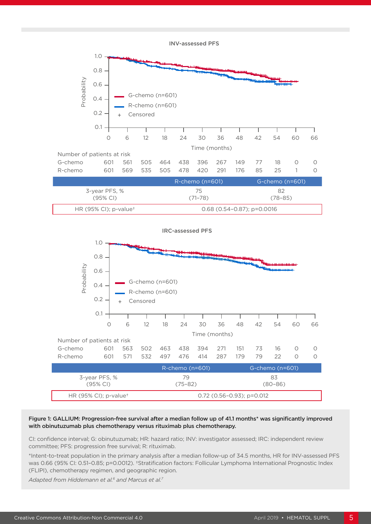INV-assessed PFS





#### Figure 1: GALLIUM: Progression-free survival after a median follow up of 41.1 months\* was significantly improved with obinutuzumab plus chemotherapy versus rituximab plus chemotherapy. with-to-treat population; in the primary analysis, and in the primary and  $\mathbf{r}$

CI: confidence interval; G: obinutuzumab; HR: hazard ratio; INV: investigator assessed; IRC: independent review committee; PFS: progression free survival; R: rituximab.  $\Box$ 

> \*Intent-to-treat population in the primary analysis after a median follow-up of 34.5 months, HR for INV-assessed PFS was 0.66 (95% CI: 0.51–0.85; p=0.0012). †Stratification factors: Follicular Lymphoma International Prognostic Index (FLIPI), chemotherapy regimen, and geographic region.

*Adapted from Hiddemann et al.6 and Marcus et al.7*

**PFS after 41.1 months' median follow-up1\***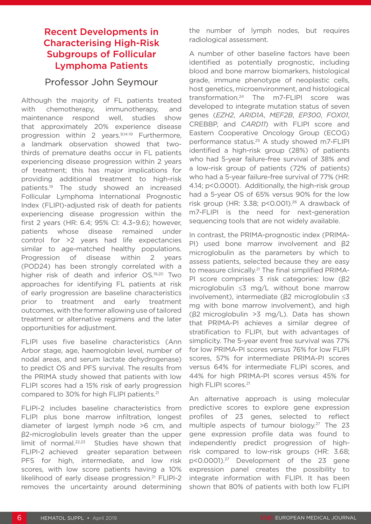# Recent Developments in Characterising High-Risk Subgroups of Follicular Lymphoma Patients

### Professor John Seymour

Although the majority of FL patients treated with chemotherapy, immunotherapy, and maintenance respond well, studies show that approximately 20% experience disease progression within 2 years.<sup>9,14-19</sup> Furthermore, a landmark observation showed that twothirds of premature deaths occur in FL patients experiencing disease progression within 2 years of treatment; this has major implications for providing additional treatment to high-risk patients.19 The study showed an increased Follicular Lymphoma International Prognostic Index (FLIPI)-adjusted risk of death for patients experiencing disease progression within the first 2 years (HR: 6.4; 95% CI: 4.3–9.6); however, patients whose disease remained under control for >2 years had life expectancies similar to age-matched healthy populations. Progression of disease within 2 years (POD24) has been strongly correlated with a higher risk of death and inferior OS.19,20 Two approaches for identifying FL patients at risk of early progression are baseline characteristics prior to treatment and early treatment outcomes, with the former allowing use of tailored treatment or alternative regimens and the later opportunities for adjustment.

FLIPI uses five baseline characteristics (Ann Arbor stage, age, haemoglobin level, number of nodal areas, and serum lactate dehydrogenase) to predict OS and PFS survival. The results from the PRIMA study showed that patients with low FLIPI scores had a 15% risk of early progression compared to 30% for high FLIPI patients.<sup>21</sup>

FLIPI-2 includes baseline characteristics from FLIPI plus bone marrow infiltration, longest diameter of largest lymph node >6 cm, and β2-microglobulin levels greater than the upper limit of normal.22,23 Studies have shown that FLIPI-2 achieved greater separation between PFS for high, intermediate, and low risk scores, with low score patients having a 10% likelihood of early disease progression.<sup>21</sup> FLIPI-2 removes the uncertainty around determining

the number of lymph nodes, but requires radiological assessment.

A number of other baseline factors have been identified as potentially prognostic, including blood and bone marrow biomarkers, histological grade, immune phenotype of neoplastic cells, host genetics, microenvironment, and histological transformation.24 The m7-FLIPI score was developed to integrate mutation status of seven genes (*EZH2*, *ARID1A*, *MEF2B*, *EP300*, *FOX01*, CREBBP, and *CARD11*) with FLIPI score and Eastern Cooperative Oncology Group (ECOG) performance status.25 A study showed m7-FLIPI identified a high-risk group (28%) of patients who had 5-year failure-free survival of 38% and a low-risk group of patients (72% of patients) who had a 5-year failure-free survival of 77% (HR: 4.14; p<0.0001). Additionally, the high-risk group had a 5-year OS of 65% versus 90% for the low risk group (HR: 3.38;  $p$ <0.001).<sup>26</sup> A drawback of m7-FLIPI is the need for next-generation sequencing tools that are not widely available.

In contrast, the PRIMA-prognostic index (PRIMA-PI) used bone marrow involvement and β2 microglobulin as the parameters by which to assess patients, selected because they are easy to measure clinically.<sup>21</sup> The final simplified PRIMA-PI score comprises 3 risk categories: low (β2 microglobulin ≤3 mg/L without bone marrow involvement), intermediate (β2 microglobulin ≤3 mg with bone marrow involvement), and high (β2 microglobulin >3 mg/L). Data has shown that PRIMA-PI achieves a similar degree of stratification to FLIPI, but with advantages of simplicity. The 5-year event free survival was 77% for low PRIMA-PI scores versus 76% for low FLIPI scores, 57% for intermediate PRIMA-PI scores versus 64% for intermediate FLIPI scores, and 44% for high PRIMA-PI scores versus 45% for high FLIPI scores.<sup>21</sup>

An alternative approach is using molecular predictive scores to explore gene expression profiles of 23 genes, selected to reflect multiple aspects of tumour biology.<sup>27</sup> The 23 gene expression profile data was found to independently predict progression of highrisk compared to low-risk groups (HR: 3.68; p<0.0001).27 Development of the 23 gene expression panel creates the possibility to integrate information with FLIPI. It has been shown that 80% of patients with both low FLIPI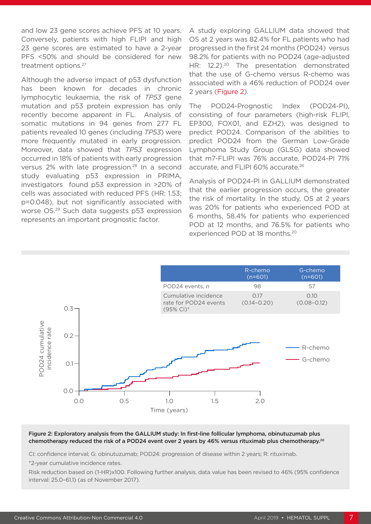and low 23 gene scores achieve PFS at 10 years. Conversely, patients with high FLIPI and high 23 gene scores are estimated to have a 2-year PFS <50% and should be considered for new treatment options.27

Although the adverse impact of p53 dysfunction has been known for decades in chronic lymphocytic leukaemia, the risk of *TP53* gene mutation and p53 protein expression has only recently become apparent in FL. Analysis of somatic mutations in 94 genes from 277 FL patients revealed 10 genes (including *TP53*) were more frequently mutated in early progression. Moreover, data showed that *TP53* expression occurred in 18% of patients with early progression versus 2% with late progression.28 In a second study evaluating p53 expression in PRIMA, investigators found p53 expression in >20% of cells was associated with reduced PFS (HR: 1.53; p=0.048), but not significantly associated with worse OS.29 Such data suggests p53 expression represents an important prognostic factor.

A study exploring GALLIUM data showed that OS at 2 years was 82.4% for FL patients who had progressed in the first 24 months (POD24) versus 98.2% for patients with no POD24 (age-adjusted HR: 12.2).<sup>20</sup> The presentation demonstrated that the use of G-chemo versus R-chemo was associated with a 46% reduction of POD24 over 2 years (Figure 2).

The POD24-Prognostic Index (POD24-PI), consisting of four parameters (high-risk FLIPI, EP300, FOX01, and EZH2), was designed to predict POD24. Comparison of the abilities to predict POD24 from the German Low-Grade Lymphoma Study Group (GLSG) data showed that m7-FLIPI was 76% accurate, POD24-PI 71% accurate, and FLIPI 60% accurate.26

resents an impertant progrissic ractor.<br>
POD at 12 months, and 76.5% for patients who<br>
experienced POD at 18 months.<sup>20</sup> Analysis of POD24-PI in GALLIUM demonstrated that the earlier progression occurs, the greater the risk of mortality. In the study, OS at 2 years was 20% for patients who experienced POD at 6 months, 58.4% for patients who experienced experienced POD at 18 months.<sup>20</sup>



#### Figure 2: Exploratory analysis from the GALLIUM study: In first-line follicular lymphoma, obinutuzumab plus chemotherapy reduced the risk of a POD24 event over 2 years by 46% versus rituximab plus chemotherapy.20

CI: confidence interval; G: obinutuzumab; POD24: progression of disease within 2 years; R: rituximab.

\*2-year cumulative incidence rates.

Risk reduction based on (1-HR)x100. Following further analysis, data value has been revised to 46% (95% confidence interval: 25.0–61.1) (as of November 2017).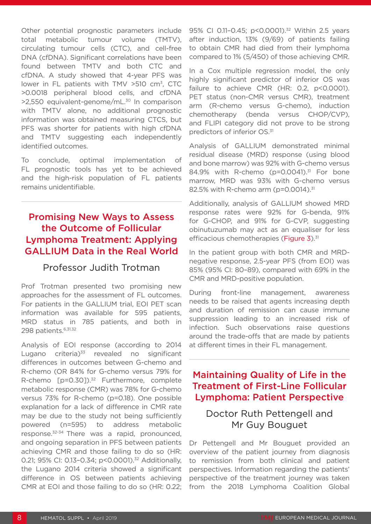Other potential prognostic parameters include total metabolic tumour volume (TMTV), circulating tumour cells (CTC), and cell-free DNA (cfDNA). Significant correlations have been found between TMTV and both CTC and cfDNA. A study showed that 4-year PFS was lower in FL patients with TMV  $>510$  cm<sup>3</sup>, CTC >0.0018 peripheral blood cells, and cfDNA >2,550 equivalent-genome/mL.<sup>30</sup> In comparison with TMTV alone, no additional prognostic information was obtained measuring CTCS, but PFS was shorter for patients with high cfDNA and TMTV suggesting each independently identified outcomes.

To conclude, optimal implementation of FL prognostic tools has yet to be achieved and the high-risk population of FL patients remains unidentifiable.

# Promising New Ways to Assess the Outcome of Follicular Lymphoma Treatment: Applying GALLIUM Data in the Real World

## Professor Judith Trotman

Prof Trotman presented two promising new approaches for the assessment of FL outcomes. For patients in the GALLIUM trial, EOI PET scan information was available for 595 patients, MRD status in 785 patients, and both in 298 patients. 6,31,32

Analysis of EOI response (according to 2014 Lugano criteria) $33$  revealed no significant differences in outcomes between G-chemo and R-chemo (OR 84% for G-chemo versus 79% for R-chemo [p=0.301).<sup>32</sup> Furthermore, complete metabolic response (CMR) was 78% for G-chemo versus 73% for R-chemo (p=0.18). One possible explanation for a lack of difference in CMR rate may be due to the study not being sufficiently powered (n=595) to address metabolic response.32-34 There was a rapid, pronounced, and ongoing separation in PFS between patients achieving CMR and those failing to do so (HR: 0.21; 95% CI: 0.13-0.34; p<0.0001).<sup>32</sup> Additionally, the Lugano 2014 criteria showed a significant difference in OS between patients achieving CMR at EOI and those failing to do so (HR: 0.22;

95% CI 0.11-0.45; p<0.0001).<sup>32</sup> Within 2.5 years after induction, 13% (9/69) of patients failing to obtain CMR had died from their lymphoma compared to 1% (5/450) of those achieving CMR.

In a Cox multiple regression model, the only highly significant predictor of inferior OS was failure to achieve CMR (HR: 0.2, p<0.0001). PET status (non-CMR versus CMR), treatment arm (R-chemo versus G-chemo), induction chemotherapy (benda versus CHOP/CVP), and FLIPI category did not prove to be strong predictors of inferior OS.31

Analysis of GALLIUM demonstrated minimal residual disease (MRD) response (using blood and bone marrow) was 92% with G-chemo versus 84.9% with R-chemo (p=0.0041).<sup>31</sup> For bone marrow, MRD was 93% with G-chemo versus 82.5% with R-chemo arm (p=0.0014).<sup>31</sup>

Additionally, analysis of GALLIUM showed MRD response rates were 92% for G-benda, 91% for G-CHOP, and 91% for G-CVP, suggesting obinutuzumab may act as an equaliser for less efficacious chemotherapies (Figure 3).<sup>31</sup>

In the patient group with both CMR and MRDnegative response, 2.5-year PFS (from EOI) was 85% (95% CI: 80–89), compared with 69% in the CMR and MRD-positive population.

During front-line management, awareness needs to be raised that agents increasing depth and duration of remission can cause immune suppression leading to an increased risk of infection. Such observations raise questions around the trade-offs that are made by patients at different times in their FL management.

# Maintaining Quality of Life in the Treatment of First-Line Follicular Lymphoma: Patient Perspective

# Doctor Ruth Pettengell and Mr Guy Bouguet

Dr Pettengell and Mr Bouguet provided an overview of the patient journey from diagnosis to remission from both clinical and patient perspectives. Information regarding the patients' perspective of the treatment journey was taken from the 2018 Lymphoma Coalition Global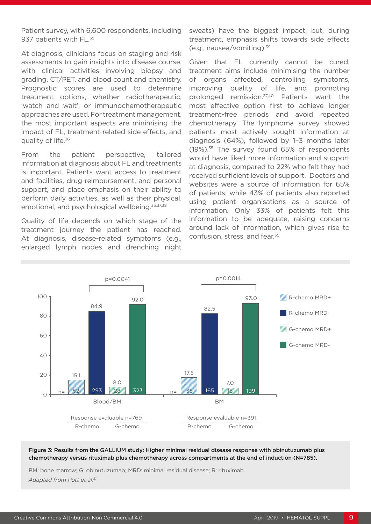Patient survey, with 6,600 respondents, including 937 patients with FL.<sup>35</sup>

At diagnosis, clinicians focus on staging and risk assessments to gain insights into disease course, with clinical activities involving biopsy and grading, CT/PET, and blood count and chemistry. Prognostic scores are used to determine treatment options, whether radiotherapeutic, 'watch and wait', or immunochemotherapeutic approaches are used. For treatment management, the most important aspects are minimising the impact of FL, treatment-related side effects, and quality of life.<sup>36</sup>

From the patient perspective, tailored information at diagnosis about FL and treatments is important. Patients want access to treatment and facilities, drug reimbursement, and personal support, and place emphasis on their ability to perform daily activities, as well as their physical, emotional, and psychological wellbeing.<sup>35,37,38</sup>

Quality of life depends on which stage of the treatment journey the patient has reached. At diagnosis, disease-related symptoms (e.g., enlarged lymph nodes and drenching night

sweats) have the biggest impact, but, during treatment, emphasis shifts towards side effects (e.g., nausea/vomiting).39

Given that FL currently cannot be cured, treatment aims include minimising the number of organs affected, controlling symptoms, improving quality of life, and promoting prolonged remission.37,40 Patients want the most effective option first to achieve longer treatment-free periods and avoid repeated chemotherapy. The lymphoma survey showed patients most actively sought information at diagnosis (64%), followed by 1–3 months later (19%).35 The survey found 65% of respondents would have liked more information and support at diagnosis, compared to 22% who felt they had received sufficient levels of support. Doctors and websites were a source of information for 65% of patients, while 43% of patients also reported using patient organisations as a source of information. Only 33% of patients felt this information to be adequate, raising concerns around lack of information, which gives rise to confusion, stress, and fear.35



#### Figure 3: Results from the GALLIUM study: Higher minimal residual disease response with obinutuzumab plus chemotherapy versus rituximab plus chemotherapy across compartments at the end of induction (N=785).

BM: bone marrow; G: obinutuzumab; MRD: minimal residual disease; R: rituximab. *Adapted from Pott et al.31*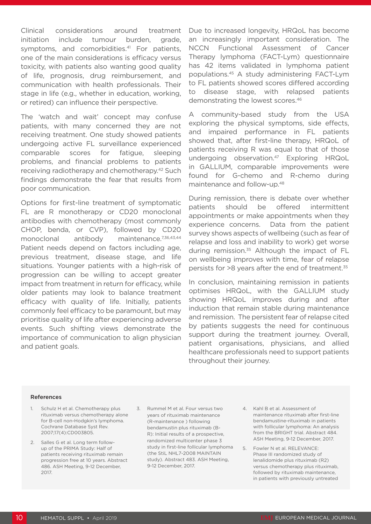Clinical considerations around treatment initiation include tumour burden, grade, symptoms, and comorbidities.<sup>41</sup> For patients, one of the main considerations is efficacy versus toxicity, with patients also wanting good quality of life, prognosis, drug reimbursement, and communication with health professionals. Their stage in life (e.g., whether in education, working, or retired) can influence their perspective.

The 'watch and wait' concept may confuse patients, with many concerned they are not receiving treatment. One study showed patients undergoing active FL surveillance experienced comparable scores for fatigue, sleeping problems, and financial problems to patients receiving radiotherapy and chemotherapy.42 Such findings demonstrate the fear that results from poor communication.

Options for first-line treatment of symptomatic FL are R monotherapy or CD20 monoclonal antibodies with chemotherapy (most commonly CHOP, benda, or CVP), followed by CD20 monoclonal antibody maintenance.<sup>7,36,43,44</sup> Patient needs depend on factors including age, previous treatment, disease stage, and life situations. Younger patients with a high-risk of progression can be willing to accept greater impact from treatment in return for efficacy, while older patients may look to balance treatment efficacy with quality of life. Initially, patients commonly feel efficacy to be paramount, but may prioritise quality of life after experiencing adverse events. Such shifting views demonstrate the importance of communication to align physician and patient goals.

Due to increased longevity, HRQoL has become an increasingly important consideration. The NCCN Functional Assessment of Cancer Therapy lymphoma (FACT-Lym) questionnaire has 42 items validated in lymphoma patient populations.45 A study administering FACT-Lym to FL patients showed scores differed according to disease stage, with relapsed patients demonstrating the lowest scores.46

A community-based study from the USA exploring the physical symptoms, side effects, and impaired performance in FL patients showed that, after first-line therapy, HRQoL of patients receiving R was equal to that of those undergoing observation.<sup>47</sup> Exploring HRQoL in GALLIUM, comparable improvements were found for G-chemo and R-chemo during maintenance and follow-up.48

During remission, there is debate over whether patients should be offered intermittent appointments or make appointments when they experience concerns. Data from the patient survey shows aspects of wellbeing (such as fear of relapse and loss and inability to work) get worse during remission.<sup>35</sup> Although the impact of FL on wellbeing improves with time, fear of relapse persists for >8 years after the end of treatment.<sup>35</sup>

In conclusion, maintaining remission in patients optimises HRQoL, with the GALLIUM study showing HRQoL improves during and after induction that remain stable during maintenance and remission. The persistent fear of relapse cited by patients suggests the need for continuous support during the treatment journey. Overall, patient organisations, physicians, and allied healthcare professionals need to support patients throughout their journey.

#### References

- 1. Schulz H et al. Chemotherapy plus rituximab versus chemotherapy alone for B-cell non-Hodgkin's lymphoma. Cochrane Database Syst Rev. 2007;17(4):CD003805.
- 2. Salles G et al. Long term followup of the PRIMA Study: Half of patients receiving rituximab remain progression free at 10 years. Abstract 486. ASH Meeting, 9-12 December, 2017.
- 3. Rummel M et al. Four versus two years of rituximab maintenance (R-maintenance ) following bendamustin plus rituximab (B-R): Initial results of a prospective, randomized multicenter phase 3 study in first-line follicular lymphoma (the StiL NHL7-2008 MAINTAIN study). Abstract 483. ASH Meeting, 9-12 December, 2017.
- 4. Kahl B et al. Assessment of maintenance rituximab after first-line bendamustine-rituximab in patients with follicular lymphoma: An analysis from the BRIGHT trial. Abstract 484. ASH Meeting, 9-12 December, 2017.
- 5. Fowler N et al. RELEVANCE: Phase III randomized study of lenalidomide plus rituximab (R2) versus chemotherapy plus rituximab, followed by rituximab maintenance, in patients with previously untreated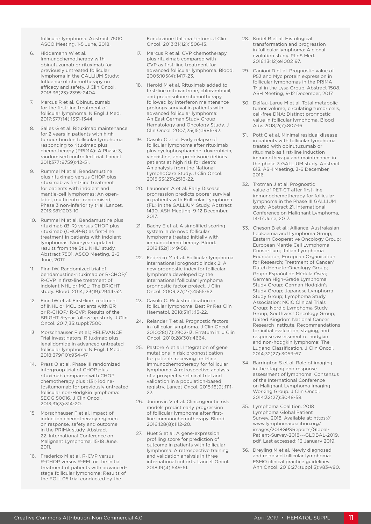follicular lymphoma. Abstract 7500. ASCO Meeting, 1-5 June, 2018.

- 6. Hiddemann W et al. Immunochemotherapy with obinutuzumab or rituximab for previously untreated follicular lymphoma in the GALLIUM Study: Influence of chemotherapy on efficacy and safety. J Clin Oncol. 2018;36(23):2395-2404.
- 7. Marcus R et al. Obinutuzumab for the first-line treatment of follicular lymphoma. N Engl J Med. 2017;377(14):1331-1344.
- 8. Salles G et al. Rituximab maintenance for 2 years in patients with high tumour burden follicular lymphoma responding to rituximab plus chemotherapy (PRIMA): A Phase 3, randomised controlled trial. Lancet. 2011;377(9759):42-51.
- 9. Rummel M et al. Bendamustine plus rituximab versus CHOP plus rituximab as first-line treatment for patients with indolent and mantle-cell lymphomas: An openlabel, multicentre, randomised, Phase 3 non-inferiority trial. Lancet. 2013;381:1203-10.
- 10. Rummel M et al. Bendamustine plus rituximab (B-R) versus CHOP plus rituximab (CHOP-R) as first-line treatment in patients with indolent lymphomas: Nine-year updated results from the StiL NHL1 study. Abstract 7501. ASCO Meeting, 2-6 June, 2017.
- 11. Finn IW. Randomized trial of bendamustine-rituximab or R-CHOP/ R-CVP in first-line treatment of indolent NHL or MCL: The BRIGHT study. Blood. 2014;123(19):2944-52.
- 12. Finn IW et al. First-line treatment of iNHL or MCL patients with BR or R-CHOP/ R-CVP: Results of the BRIGHT 5-year follow-up study. J Clin Oncol. 2017;35:suppl:7500.
- 13. Morschhauser F et al.; RELEVANCE Trial Investigators. Rituximab plus lenalidomide in advanced untreated follicular lymphoma. N Engl J Med. 2018;379(10):934-47.
- 14. Press O et al. Phase III randomized intergroup trial of CHOP plus rituximab compared with CHOP chemotherapy plus (131) iodinetositumomab for previously untreated follicular non-Hodgkin lymphoma: SEOG S0016. J Clin Oncol. 2013;31(3):314-20.
- 15. Morschhauser F et al. Impact of induction chemotherapy regimen on response, safety and outcome in the PRIMA study. Abstract 22. International Conference on Malignant Lymphoma, 15-18 June, 2011.
- 16. Frederico M et al. R-CVP versus R-CHOP versus R-FM for the initial treatment of patients with advancedstage follicular lymphoma: Results of the FOLL05 trial conducted by the

Fondazione Italiana Linfomi. J Clin Oncol. 2013;31(12):1506-13.

- 17. Marcus R et al. CVP chemotherapy plus rituximab compared with CVP as first-line treatment for advanced follicular lymphoma. Blood. 2005;105(4):1417-23.
- 18. Herold M et al. Rituximab added to first-line mitoxantrone, chlorambucil, and prednisolone chemotherapy followed by interferon maintenance prolongs survival in patients with advanced follicular lymphoma: An East German Study Group Hematology and Oncology Study. J Clin Oncol. 2007;25(15):1986-92.
- 19. Casulo C et al. Early relapse of follicular lymphoma after rituximab plus cyclophosphamide, doxorubicin, vincristine, and prednisone defines patients at high risk for death: An analysis from the National LymphoCare Study. J Clin Oncol. 2015;33(23):2516-22.
- 20. Launonen A et al. Early Disease progression predicts poorer survival in patients with Follicular Lymphoma (FL) in the GALLIUM Study. Abstract 1490. ASH Meeting, 9-12 December, 2017.
- 21. Bachy E et al. A simplified scoring system in de novo follicular lymphoma treated initially with immunochemotherapy. Blood. 2018;132(1):49-58.
- 22. Federico M et al. Follicular lymphoma international prognostic index 2: A new prognostic index for follicular lymphoma developed by the international follicular lymphoma prognostic factor project. J Clin Oncol. 2009;27(27):4555-62.
- 23. Casulo C. Risk stratification in follicular lymphoma. Best Pr Res Clin Haematol. 2018;31(1):15-22.
- 24. Relander T et al. Prognostic factors in follicular lymphoma. J Clin Oncol. 2010;28(17):2902-13. Erratum in: J Clin Oncol. 2010;28(30):4664.
- 25. Pastore A et al. Integration of gene mutations in risk prognostication for patients receiving first-line immunochemotherapy for follicular lymphoma: A retrospective analysis of a prospective clinical trial and validation in a population-based registry. Lancet Oncol. 2015;16(9):1111- 22.
- 26. Jurinovic V et al. Clinicogenetic risk models predict early progression of follicular lymphoma after firstline immunochemotherapy. Blood. 2016;128(8):1112-20.
- 27. Huet S et al. A gene-expression profiling score for prediction of outcome in patients with follicular lymphoma: A retrospective training and validation analysis in three international cohorts. Lancet Oncol. 2018;19(4):549-61.
- 28. Kridel R et al. Histological transformation and progression in follicular lymphoma: A clonal evolution study. PLoS Med. 2016;13(12):e1002197.
- 29. Canioni D et al. Prognostic value of P53 and Myc protein expression in follicular lymphomas in the PRIMA Trial in the Lysa Group. Abstract 1508. ASH Meeting, 9-12 December, 2017.
- 30. Delfau-Larue M et al. Total metabolic tumor volume, circulating tumor cells, cell-free DNA: Distinct prognostic value in follicular lymphoma. Blood Adv. 2018;2(7):807-16.
- 31. Pott C et al. Minimal residual disease in patients with follicular lymphoma treated with obinutuzumab or rituximab as first-line induction immunotherapy and maintenance in the phase 3 GALLIUM study. Abstract 613. ASH Meeting, 3-6 December, 2016.
- 32. Trotman J et al. Prognostic value of PET-CT after first-line immunochemotherapy for follicular lymphoma in the Phase III GALLIUM study. Abstract 21. International Conference on Malignant Lymphoma, 14-17 June, 2017.
- 33. Cheson B et al.; Alliance, Australasian Leukaemia and Lymphoma Group; Eastern Cooperative Oncology Group; European Mantle Cell Lymphoma Consortium; Italian Lymphoma Foundation; European Organisation for Research; Treatment of Cancer/ Dutch Hemato-Oncology Group; Grupo Español de Médula Ósea; German High-Grade Lymphoma Study Group; German Hodgkin's Study Group; Japanese Lymphorra Study Group; Lymphoma Study Association; NCIC Clinical Trials Group; Nordic Lymphoma Study Group; Southwest Oncology Group; United Kingdom National Cancer Research Institute. Recommendations for initial evaluation, staging, and response assessment of hodgkin and non-hodgkin lymphoma: The Lugano Classification. J Clin Oncol. 2014;32(27):3059-67.
- 34. Barrington S et al. Role of imaging in the staging and response assessment of lymphoma: Consensus of the International Conference on Malignant Lymphoma Imaging Working Group. J Clin Oncol. 2014;32(27):3048-58.
- 35. Lymphoma Coalition. 2018 Lymphoma Global Patient Survey. 2018. Available at: https:// www.lymphomacoalition.org/ images/2018GPSReports/Global-Patient-Survey-2018---GLOBAL-2019. pdf. Last accessed: 13 January 2019.
- 36. Dreyling M et al. Newly diagnosed and relapsed follicular lymphoma: ESMO clinical practice guidelines. Ann Oncol. 2016;27(suppl 5):v83-v90.